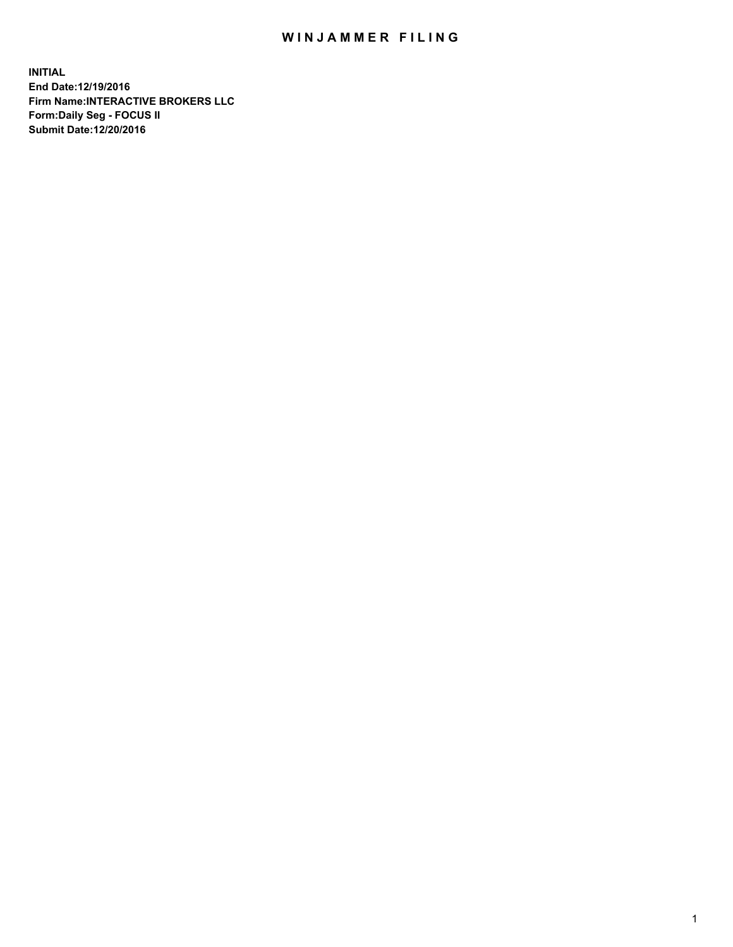## WIN JAMMER FILING

**INITIAL End Date:12/19/2016 Firm Name:INTERACTIVE BROKERS LLC Form:Daily Seg - FOCUS II Submit Date:12/20/2016**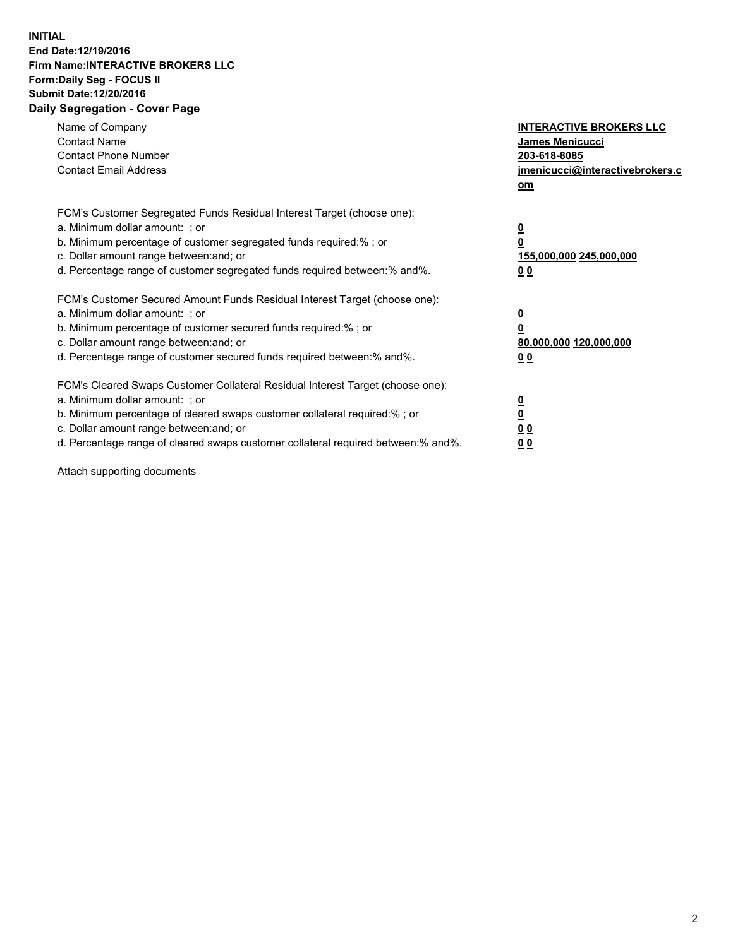## **INITIAL End Date:12/19/2016 Firm Name:INTERACTIVE BROKERS LLC Form:Daily Seg - FOCUS II Submit Date:12/20/2016 Daily Segregation - Cover Page**

| Name of Company<br><b>Contact Name</b><br><b>Contact Phone Number</b><br><b>Contact Email Address</b>                                                                                                                                                                                                                          | <b>INTERACTIVE BROKERS LLC</b><br><b>James Menicucci</b><br>203-618-8085<br>jmenicucci@interactivebrokers.c<br>om |
|--------------------------------------------------------------------------------------------------------------------------------------------------------------------------------------------------------------------------------------------------------------------------------------------------------------------------------|-------------------------------------------------------------------------------------------------------------------|
| FCM's Customer Segregated Funds Residual Interest Target (choose one):<br>a. Minimum dollar amount: ; or<br>b. Minimum percentage of customer segregated funds required:%; or<br>c. Dollar amount range between: and; or<br>d. Percentage range of customer segregated funds required between:% and%.                          | $\overline{\mathbf{0}}$<br>0<br>155,000,000 245,000,000<br>00                                                     |
| FCM's Customer Secured Amount Funds Residual Interest Target (choose one):<br>a. Minimum dollar amount: ; or<br>b. Minimum percentage of customer secured funds required:%; or<br>c. Dollar amount range between: and; or<br>d. Percentage range of customer secured funds required between: % and %.                          | $\overline{\mathbf{0}}$<br>0<br>80,000,000 120,000,000<br>0 <sub>0</sub>                                          |
| FCM's Cleared Swaps Customer Collateral Residual Interest Target (choose one):<br>a. Minimum dollar amount: ; or<br>b. Minimum percentage of cleared swaps customer collateral required:% ; or<br>c. Dollar amount range between: and; or<br>d. Percentage range of cleared swaps customer collateral required between:% and%. | $\overline{\mathbf{0}}$<br>$\overline{\mathbf{0}}$<br>0 <sub>0</sub><br><u>00</u>                                 |

Attach supporting documents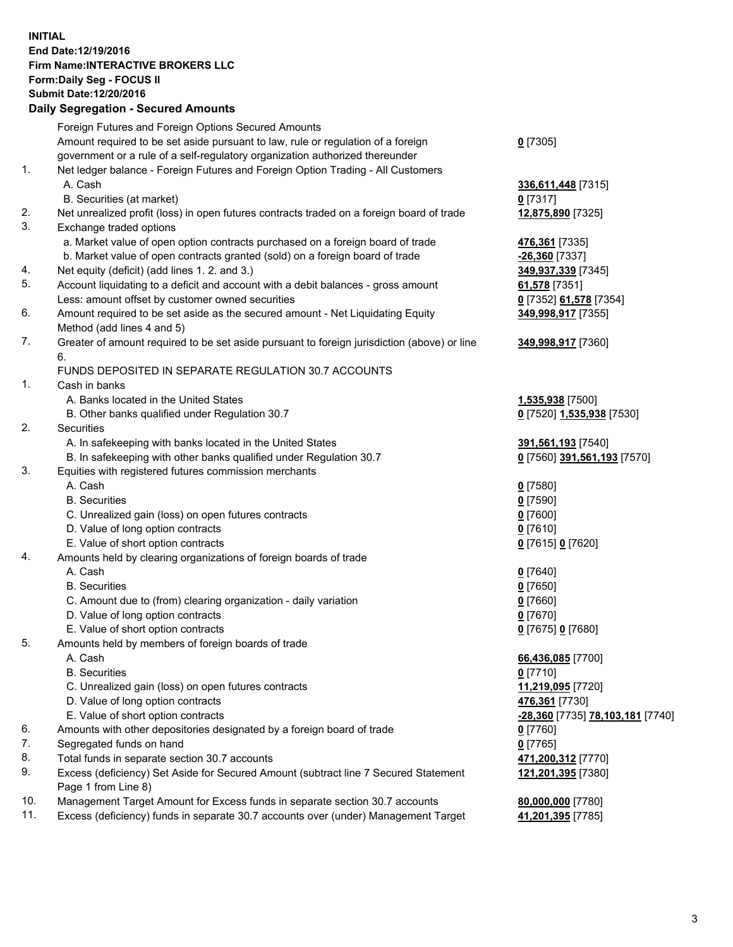## **INITIAL End Date:12/19/2016 Firm Name:INTERACTIVE BROKERS LLC Form:Daily Seg - FOCUS II Submit Date:12/20/2016 Daily Segregation - Secured Amounts**

|     | Daily Jegregation - Jeculed Aniounts                                                        |                                  |
|-----|---------------------------------------------------------------------------------------------|----------------------------------|
|     | Foreign Futures and Foreign Options Secured Amounts                                         |                                  |
|     | Amount required to be set aside pursuant to law, rule or regulation of a foreign            | $0$ [7305]                       |
|     | government or a rule of a self-regulatory organization authorized thereunder                |                                  |
| 1.  | Net ledger balance - Foreign Futures and Foreign Option Trading - All Customers             |                                  |
|     | A. Cash                                                                                     | 336,611,448 [7315]               |
|     | B. Securities (at market)                                                                   | $0$ [7317]                       |
| 2.  | Net unrealized profit (loss) in open futures contracts traded on a foreign board of trade   | 12,875,890 [7325]                |
| 3.  | Exchange traded options                                                                     |                                  |
|     | a. Market value of open option contracts purchased on a foreign board of trade              | 476,361 [7335]                   |
|     | b. Market value of open contracts granted (sold) on a foreign board of trade                | $-26,360$ [7337]                 |
| 4.  | Net equity (deficit) (add lines 1. 2. and 3.)                                               | 349,937,339 [7345]               |
| 5.  | Account liquidating to a deficit and account with a debit balances - gross amount           | 61,578 [7351]                    |
|     | Less: amount offset by customer owned securities                                            | 0 [7352] 61,578 [7354]           |
| 6.  | Amount required to be set aside as the secured amount - Net Liquidating Equity              | 349,998,917 [7355]               |
|     | Method (add lines 4 and 5)                                                                  |                                  |
| 7.  | Greater of amount required to be set aside pursuant to foreign jurisdiction (above) or line | 349,998,917 [7360]               |
|     | 6.                                                                                          |                                  |
|     | FUNDS DEPOSITED IN SEPARATE REGULATION 30.7 ACCOUNTS                                        |                                  |
| 1.  | Cash in banks                                                                               |                                  |
|     | A. Banks located in the United States                                                       | 1,535,938 [7500]                 |
|     | B. Other banks qualified under Regulation 30.7                                              | 0 [7520] 1,535,938 [7530]        |
| 2.  | Securities                                                                                  |                                  |
|     | A. In safekeeping with banks located in the United States                                   | 391,561,193 [7540]               |
|     | B. In safekeeping with other banks qualified under Regulation 30.7                          | 0 [7560] 391,561,193 [7570]      |
| 3.  | Equities with registered futures commission merchants                                       |                                  |
|     | A. Cash                                                                                     | $0$ [7580]                       |
|     | <b>B.</b> Securities                                                                        | $0$ [7590]                       |
|     | C. Unrealized gain (loss) on open futures contracts                                         | $0$ [7600]                       |
|     | D. Value of long option contracts                                                           | $0$ [7610]                       |
|     | E. Value of short option contracts                                                          | 0 [7615] 0 [7620]                |
| 4.  | Amounts held by clearing organizations of foreign boards of trade                           |                                  |
|     | A. Cash                                                                                     | $0$ [7640]                       |
|     | <b>B.</b> Securities                                                                        | $0$ [7650]                       |
|     | C. Amount due to (from) clearing organization - daily variation                             | $0$ [7660]                       |
|     | D. Value of long option contracts                                                           | $0$ [7670]                       |
|     | E. Value of short option contracts                                                          | 0 [7675] 0 [7680]                |
| 5.  | Amounts held by members of foreign boards of trade                                          |                                  |
|     | A. Cash                                                                                     | 66,436,085 [7700]                |
|     | <b>B.</b> Securities                                                                        | $0$ [7710]                       |
|     | C. Unrealized gain (loss) on open futures contracts                                         | 11,219,095 [7720]                |
|     | D. Value of long option contracts                                                           | 476,361 [7730]                   |
|     | E. Value of short option contracts                                                          | -28,360 [7735] 78,103,181 [7740] |
| 6.  | Amounts with other depositories designated by a foreign board of trade                      | 0 [7760]                         |
| 7.  | Segregated funds on hand                                                                    | $0$ [7765]                       |
| 8.  | Total funds in separate section 30.7 accounts                                               | 471,200,312 [7770]               |
| 9.  | Excess (deficiency) Set Aside for Secured Amount (subtract line 7 Secured Statement         | 121,201,395 [7380]               |
|     | Page 1 from Line 8)                                                                         |                                  |
| 10. | Management Target Amount for Excess funds in separate section 30.7 accounts                 | 80,000,000 [7780]                |
| 11. | Excess (deficiency) funds in separate 30.7 accounts over (under) Management Target          | 41,201,395 [7785]                |
|     |                                                                                             |                                  |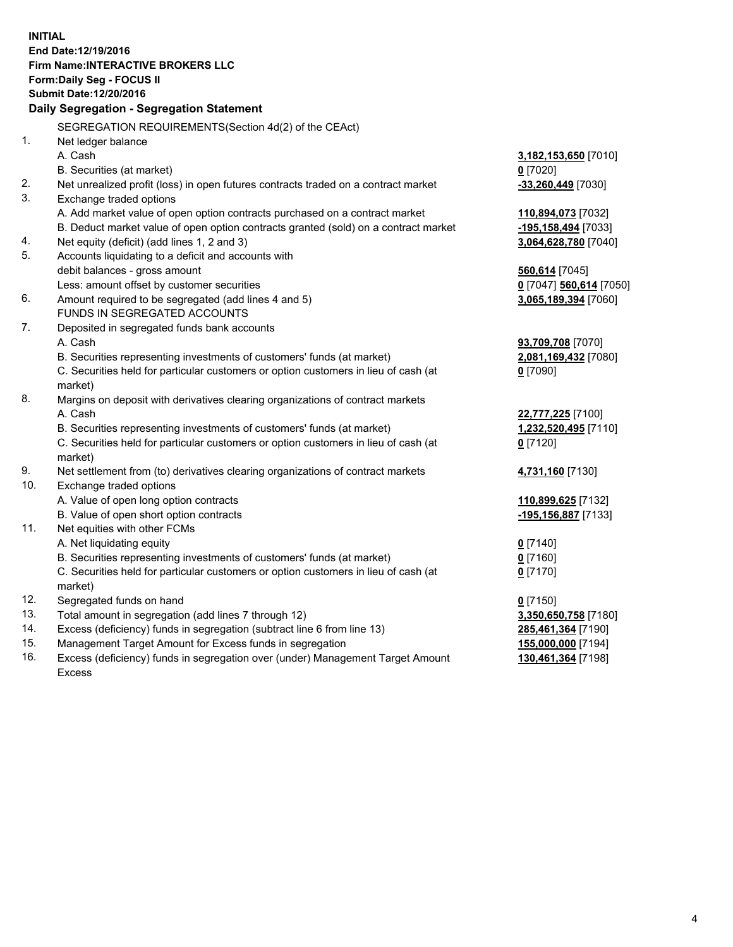**INITIAL End Date:12/19/2016 Firm Name:INTERACTIVE BROKERS LLC Form:Daily Seg - FOCUS II Submit Date:12/20/2016 Daily Segregation - Segregation Statement** SEGREGATION REQUIREMENTS(Section 4d(2) of the CEAct) 1. Net ledger balance A. Cash **3,182,153,650** [7010] B. Securities (at market) **0** [7020] 2. Net unrealized profit (loss) in open futures contracts traded on a contract market **-33,260,449** [7030] 3. Exchange traded options A. Add market value of open option contracts purchased on a contract market **110,894,073** [7032] B. Deduct market value of open option contracts granted (sold) on a contract market **-195,158,494** [7033] 4. Net equity (deficit) (add lines 1, 2 and 3) **3,064,628,780** [7040] 5. Accounts liquidating to a deficit and accounts with debit balances - gross amount **560,614** [7045] Less: amount offset by customer securities **0** [7047] **560,614** [7050] 6. Amount required to be segregated (add lines 4 and 5) **3,065,189,394** [7060] FUNDS IN SEGREGATED ACCOUNTS 7. Deposited in segregated funds bank accounts A. Cash **93,709,708** [7070] B. Securities representing investments of customers' funds (at market) **2,081,169,432** [7080] C. Securities held for particular customers or option customers in lieu of cash (at market) **0** [7090] 8. Margins on deposit with derivatives clearing organizations of contract markets A. Cash **22,777,225** [7100] B. Securities representing investments of customers' funds (at market) **1,232,520,495** [7110] C. Securities held for particular customers or option customers in lieu of cash (at market) **0** [7120] 9. Net settlement from (to) derivatives clearing organizations of contract markets **4,731,160** [7130] 10. Exchange traded options A. Value of open long option contracts **110,899,625** [7132] B. Value of open short option contracts **-195,156,887** [7133] 11. Net equities with other FCMs A. Net liquidating equity **0** [7140] B. Securities representing investments of customers' funds (at market) **0** [7160] C. Securities held for particular customers or option customers in lieu of cash (at market) **0** [7170] 12. Segregated funds on hand **0** [7150] 13. Total amount in segregation (add lines 7 through 12) **3,350,650,758** [7180] 14. Excess (deficiency) funds in segregation (subtract line 6 from line 13) **285,461,364** [7190] 15. Management Target Amount for Excess funds in segregation **155,000,000** [7194] **130,461,364** [7198]

16. Excess (deficiency) funds in segregation over (under) Management Target Amount Excess